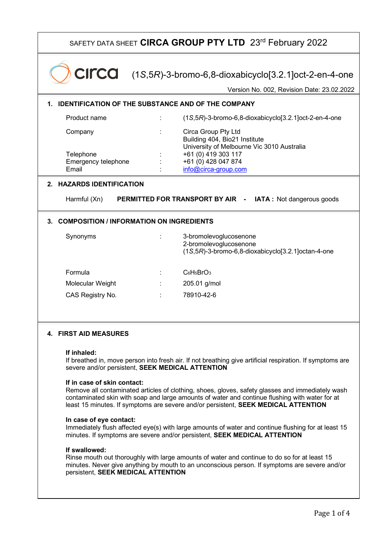| SAFETY DATA SHEET CIRCA GROUP PTY LTD 23rd February 2022                                                                                                                                                                                                                                                                                                                                                                                                                                                                                                                                                                                                                                                                                                                                                                                                                                                                                                                                                |                                                                                                                                                                          |  |  |  |  |  |  |
|---------------------------------------------------------------------------------------------------------------------------------------------------------------------------------------------------------------------------------------------------------------------------------------------------------------------------------------------------------------------------------------------------------------------------------------------------------------------------------------------------------------------------------------------------------------------------------------------------------------------------------------------------------------------------------------------------------------------------------------------------------------------------------------------------------------------------------------------------------------------------------------------------------------------------------------------------------------------------------------------------------|--------------------------------------------------------------------------------------------------------------------------------------------------------------------------|--|--|--|--|--|--|
|                                                                                                                                                                                                                                                                                                                                                                                                                                                                                                                                                                                                                                                                                                                                                                                                                                                                                                                                                                                                         | $Circa$ (1S,5R)-3-bromo-6,8-dioxabicyclo[3.2.1]oct-2-en-4-one<br>Version No. 002, Revision Date: 23.02.2022                                                              |  |  |  |  |  |  |
|                                                                                                                                                                                                                                                                                                                                                                                                                                                                                                                                                                                                                                                                                                                                                                                                                                                                                                                                                                                                         | <b>IDENTIFICATION OF THE SUBSTANCE AND OF THE COMPANY</b>                                                                                                                |  |  |  |  |  |  |
| Product name                                                                                                                                                                                                                                                                                                                                                                                                                                                                                                                                                                                                                                                                                                                                                                                                                                                                                                                                                                                            | $(1S, 5R)$ -3-bromo-6,8-dioxabicyclo $[3.2.1]$ oct-2-en-4-one                                                                                                            |  |  |  |  |  |  |
| Company<br>Telephone<br>Emergency telephone<br>Email                                                                                                                                                                                                                                                                                                                                                                                                                                                                                                                                                                                                                                                                                                                                                                                                                                                                                                                                                    | Circa Group Pty Ltd<br>Building 404, Bio21 Institute<br>University of Melbourne Vic 3010 Australia<br>+61 (0) 419 303 117<br>+61 (0) 428 047 874<br>info@circa-group.com |  |  |  |  |  |  |
| 2. HAZARDS IDENTIFICATION                                                                                                                                                                                                                                                                                                                                                                                                                                                                                                                                                                                                                                                                                                                                                                                                                                                                                                                                                                               |                                                                                                                                                                          |  |  |  |  |  |  |
| <b>PERMITTED FOR TRANSPORT BY AIR - IATA: Not dangerous goods</b><br>Harmful (Xn)                                                                                                                                                                                                                                                                                                                                                                                                                                                                                                                                                                                                                                                                                                                                                                                                                                                                                                                       |                                                                                                                                                                          |  |  |  |  |  |  |
| 3. COMPOSITION / INFORMATION ON INGREDIENTS                                                                                                                                                                                                                                                                                                                                                                                                                                                                                                                                                                                                                                                                                                                                                                                                                                                                                                                                                             |                                                                                                                                                                          |  |  |  |  |  |  |
| Synonyms                                                                                                                                                                                                                                                                                                                                                                                                                                                                                                                                                                                                                                                                                                                                                                                                                                                                                                                                                                                                | 3-bromolevoglucosenone<br>2-bromolevoglucosenone<br>$(1S, 5R)$ -3-bromo-6,8-dioxabicyclo $[3.2.1]$ octan-4-one                                                           |  |  |  |  |  |  |
| Formula                                                                                                                                                                                                                                                                                                                                                                                                                                                                                                                                                                                                                                                                                                                                                                                                                                                                                                                                                                                                 | $C_6H_5BrO_3$                                                                                                                                                            |  |  |  |  |  |  |
| Molecular Weight                                                                                                                                                                                                                                                                                                                                                                                                                                                                                                                                                                                                                                                                                                                                                                                                                                                                                                                                                                                        | 205.01 g/mol                                                                                                                                                             |  |  |  |  |  |  |
| CAS Registry No.                                                                                                                                                                                                                                                                                                                                                                                                                                                                                                                                                                                                                                                                                                                                                                                                                                                                                                                                                                                        | 78910-42-6                                                                                                                                                               |  |  |  |  |  |  |
| 4. FIRST AID MEASURES<br>If inhaled:<br>If breathed in, move person into fresh air. If not breathing give artificial respiration. If symptoms are<br>severe and/or persistent, SEEK MEDICAL ATTENTION<br>If in case of skin contact:<br>Remove all contaminated articles of clothing, shoes, gloves, safety glasses and immediately wash<br>contaminated skin with soap and large amounts of water and continue flushing with water for at<br>least 15 minutes. If symptoms are severe and/or persistent, SEEK MEDICAL ATTENTION<br>In case of eye contact:<br>Immediately flush affected eye(s) with large amounts of water and continue flushing for at least 15<br>minutes. If symptoms are severe and/or persistent, SEEK MEDICAL ATTENTION<br>If swallowed:<br>Rinse mouth out thoroughly with large amounts of water and continue to do so for at least 15<br>minutes. Never give anything by mouth to an unconscious person. If symptoms are severe and/or<br>persistent, SEEK MEDICAL ATTENTION |                                                                                                                                                                          |  |  |  |  |  |  |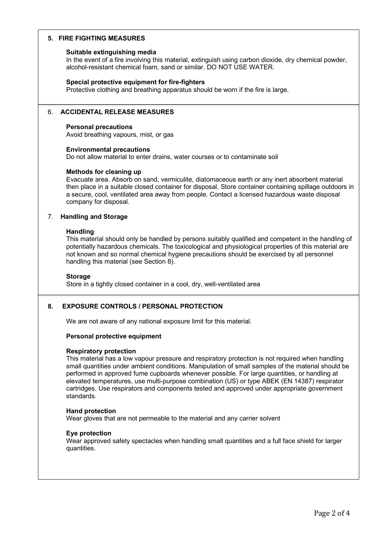# **5. FIRE FIGHTING MEASURES**

## **Suitable extinguishing media**

In the event of a fire involving this material, extinguish using carbon dioxide, dry chemical powder, alcohol-resistant chemical foam, sand or similar. DO NOT USE WATER.

## **Special protective equipment for fire-fighters**

Protective clothing and breathing apparatus should be worn if the fire is large.

## 6. **ACCIDENTAL RELEASE MEASURES**

### **Personal precautions**

Avoid breathing vapours, mist, or gas

#### **Environmental precautions**

Do not allow material to enter drains, water courses or to contaminate soil

## **Methods for cleaning up**

Evacuate area. Absorb on sand, vermiculite, diatomaceous earth or any inert absorbent material then place in a suitable closed container for disposal. Store container containing spillage outdoors in a secure, cool, ventilated area away from people. Contact a licensed hazardous waste disposal company for disposal.

## 7. **Handling and Storage**

#### **Handling**

This material should only be handled by persons suitably qualified and competent in the handling of potentially hazardous chemicals. The toxicological and physiological properties of this material are not known and so normal chemical hygiene precautions should be exercised by all personnel handling this material (see Section 8).

### **Storage**

Store in a tightly closed container in a cool, dry, well-ventilated area

# **8. EXPOSURE CONTROLS / PERSONAL PROTECTION**

We are not aware of any national exposure limit for this material.

## **Personal protective equipment**

# **Respiratory protection**

This material has a low vapour pressure and respiratory protection is not required when handling small quantities under ambient conditions. Manipulation of small samples of the material should be performed in approved fume cupboards whenever possible. For large quantities, or handling at elevated temperatures, use multi-purpose combination (US) or type ABEK (EN 14387) respirator cartridges. Use respirators and components tested and approved under appropriate government standards.

## **Hand protection**

Wear gloves that are not permeable to the material and any carrier solvent

## **Eye protection**

Wear approved safety spectacles when handling small quantities and a full face shield for larger quantities.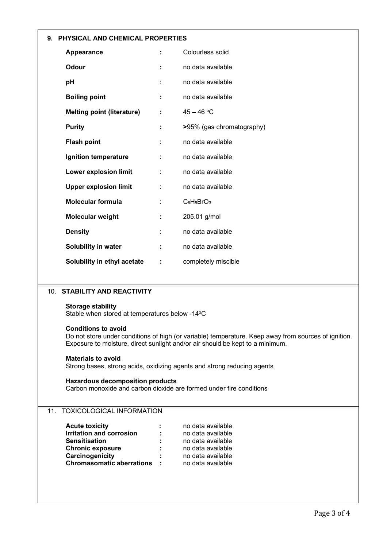|                                                                                                                                                                                                                     | 9. PHYSICAL AND CHEMICAL PROPERTIES |                           |  |  |  |
|---------------------------------------------------------------------------------------------------------------------------------------------------------------------------------------------------------------------|-------------------------------------|---------------------------|--|--|--|
| Appearance                                                                                                                                                                                                          |                                     | Colourless solid          |  |  |  |
| <b>Odour</b>                                                                                                                                                                                                        |                                     | no data available         |  |  |  |
| pH                                                                                                                                                                                                                  |                                     | no data available         |  |  |  |
| <b>Boiling point</b>                                                                                                                                                                                                | ÷                                   | no data available         |  |  |  |
| <b>Melting point (literature)</b>                                                                                                                                                                                   | ÷                                   | $45 - 46 °C$              |  |  |  |
| <b>Purity</b>                                                                                                                                                                                                       |                                     | >95% (gas chromatography) |  |  |  |
| <b>Flash point</b>                                                                                                                                                                                                  |                                     | no data available         |  |  |  |
| Ignition temperature                                                                                                                                                                                                |                                     | no data available         |  |  |  |
| <b>Lower explosion limit</b>                                                                                                                                                                                        | ÷                                   | no data available         |  |  |  |
| <b>Upper explosion limit</b>                                                                                                                                                                                        |                                     | no data available         |  |  |  |
| <b>Molecular formula</b>                                                                                                                                                                                            |                                     | $C_6H_5BrO_3$             |  |  |  |
| Molecular weight                                                                                                                                                                                                    |                                     | 205.01 g/mol              |  |  |  |
| <b>Density</b>                                                                                                                                                                                                      |                                     | no data available         |  |  |  |
| Solubility in water                                                                                                                                                                                                 |                                     | no data available         |  |  |  |
| Solubility in ethyl acetate                                                                                                                                                                                         | ÷                                   | completely miscible       |  |  |  |
|                                                                                                                                                                                                                     |                                     |                           |  |  |  |
| <b>STABILITY AND REACTIVITY</b><br>10.                                                                                                                                                                              |                                     |                           |  |  |  |
| <b>Storage stability</b><br>Stable when stored at temperatures below -14°C                                                                                                                                          |                                     |                           |  |  |  |
| <b>Conditions to avoid</b><br>Do not store under conditions of high (or variable) temperature. Keep away from sources of ignition.<br>Exposure to moisture, direct sunlight and/or air should be kept to a minimum. |                                     |                           |  |  |  |
| <b>Materials to avoid</b><br>Strong bases, strong acids, oxidizing agents and strong reducing agents                                                                                                                |                                     |                           |  |  |  |
| <b>Hazardous decomposition products</b><br>Carbon monoxide and carbon dioxide are formed under fire conditions                                                                                                      |                                     |                           |  |  |  |

# 11. TOXICOLOGICAL INFORMATION

| <b>Acute toxicity</b>            | ÷  | no data available |
|----------------------------------|----|-------------------|
| <b>Irritation and corrosion</b>  | ÷  | no data available |
| <b>Sensitisation</b>             | ÷  | no data available |
| <b>Chronic exposure</b>          | ÷  | no data available |
| Carcinogenicity                  | ÷. | no data available |
| <b>Chromasomatic aberrations</b> |    | no data available |